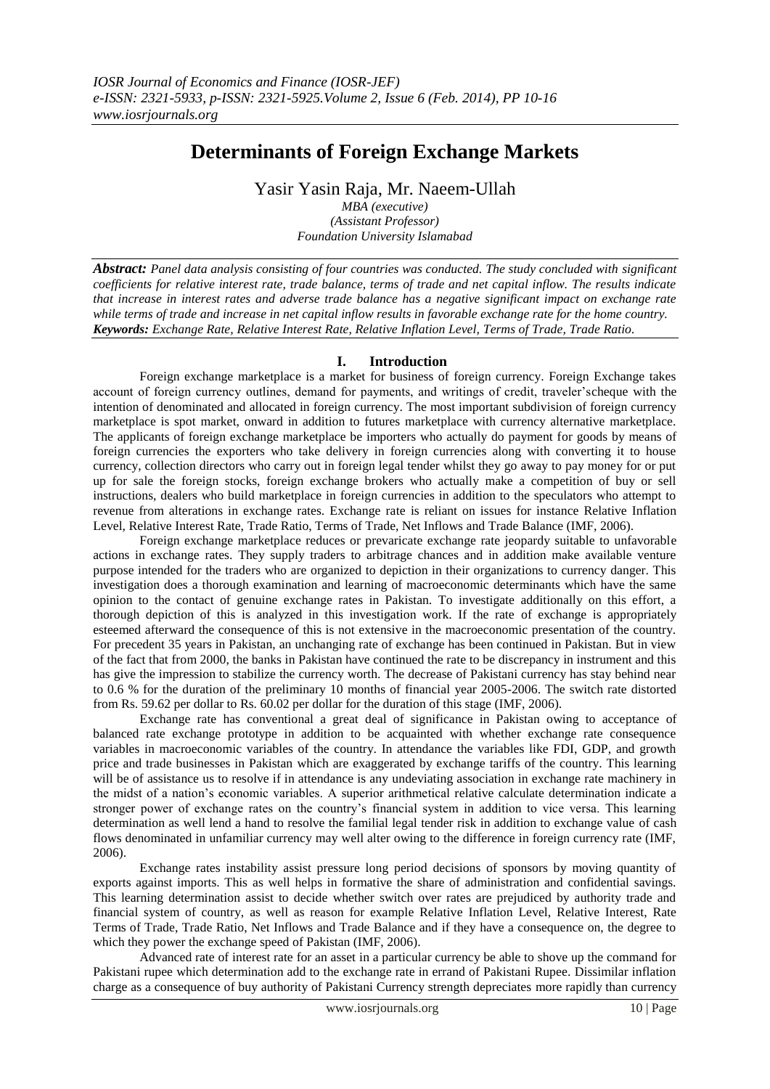# **Determinants of Foreign Exchange Markets**

Yasir Yasin Raja, Mr. Naeem-Ullah

*MBA (executive) (Assistant Professor) Foundation University Islamabad*

*Abstract: Panel data analysis consisting of four countries was conducted. The study concluded with significant coefficients for relative interest rate, trade balance, terms of trade and net capital inflow. The results indicate that increase in interest rates and adverse trade balance has a negative significant impact on exchange rate while terms of trade and increase in net capital inflow results in favorable exchange rate for the home country. Keywords: Exchange Rate, Relative Interest Rate, Relative Inflation Level, Terms of Trade, Trade Ratio.*

# **I. Introduction**

Foreign exchange marketplace is a market for business of foreign currency. Foreign Exchange takes account of foreign currency outlines, demand for payments, and writings of credit, traveler'scheque with the intention of denominated and allocated in foreign currency. The most important subdivision of foreign currency marketplace is spot market, onward in addition to futures marketplace with currency alternative marketplace. The applicants of foreign exchange marketplace be importers who actually do payment for goods by means of foreign currencies the exporters who take delivery in foreign currencies along with converting it to house currency, collection directors who carry out in foreign legal tender whilst they go away to pay money for or put up for sale the foreign stocks, foreign exchange brokers who actually make a competition of buy or sell instructions, dealers who build marketplace in foreign currencies in addition to the speculators who attempt to revenue from alterations in exchange rates. Exchange rate is reliant on issues for instance Relative Inflation Level, Relative Interest Rate, Trade Ratio, Terms of Trade, Net Inflows and Trade Balance (IMF, 2006).

Foreign exchange marketplace reduces or prevaricate exchange rate jeopardy suitable to unfavorable actions in exchange rates. They supply traders to arbitrage chances and in addition make available venture purpose intended for the traders who are organized to depiction in their organizations to currency danger. This investigation does a thorough examination and learning of macroeconomic determinants which have the same opinion to the contact of genuine exchange rates in Pakistan. To investigate additionally on this effort, a thorough depiction of this is analyzed in this investigation work. If the rate of exchange is appropriately esteemed afterward the consequence of this is not extensive in the macroeconomic presentation of the country. For precedent 35 years in Pakistan, an unchanging rate of exchange has been continued in Pakistan. But in view of the fact that from 2000, the banks in Pakistan have continued the rate to be discrepancy in instrument and this has give the impression to stabilize the currency worth. The decrease of Pakistani currency has stay behind near to 0.6 % for the duration of the preliminary 10 months of financial year 2005-2006. The switch rate distorted from Rs. 59.62 per dollar to Rs. 60.02 per dollar for the duration of this stage (IMF, 2006).

Exchange rate has conventional a great deal of significance in Pakistan owing to acceptance of balanced rate exchange prototype in addition to be acquainted with whether exchange rate consequence variables in macroeconomic variables of the country. In attendance the variables like FDI, GDP, and growth price and trade businesses in Pakistan which are exaggerated by exchange tariffs of the country. This learning will be of assistance us to resolve if in attendance is any undeviating association in exchange rate machinery in the midst of a nation's economic variables. A superior arithmetical relative calculate determination indicate a stronger power of exchange rates on the country's financial system in addition to vice versa. This learning determination as well lend a hand to resolve the familial legal tender risk in addition to exchange value of cash flows denominated in unfamiliar currency may well alter owing to the difference in foreign currency rate (IMF, 2006).

Exchange rates instability assist pressure long period decisions of sponsors by moving quantity of exports against imports. This as well helps in formative the share of administration and confidential savings. This learning determination assist to decide whether switch over rates are prejudiced by authority trade and financial system of country, as well as reason for example Relative Inflation Level, Relative Interest, Rate Terms of Trade, Trade Ratio, Net Inflows and Trade Balance and if they have a consequence on, the degree to which they power the exchange speed of Pakistan (IMF, 2006).

Advanced rate of interest rate for an asset in a particular currency be able to shove up the command for Pakistani rupee which determination add to the exchange rate in errand of Pakistani Rupee. Dissimilar inflation charge as a consequence of buy authority of Pakistani Currency strength depreciates more rapidly than currency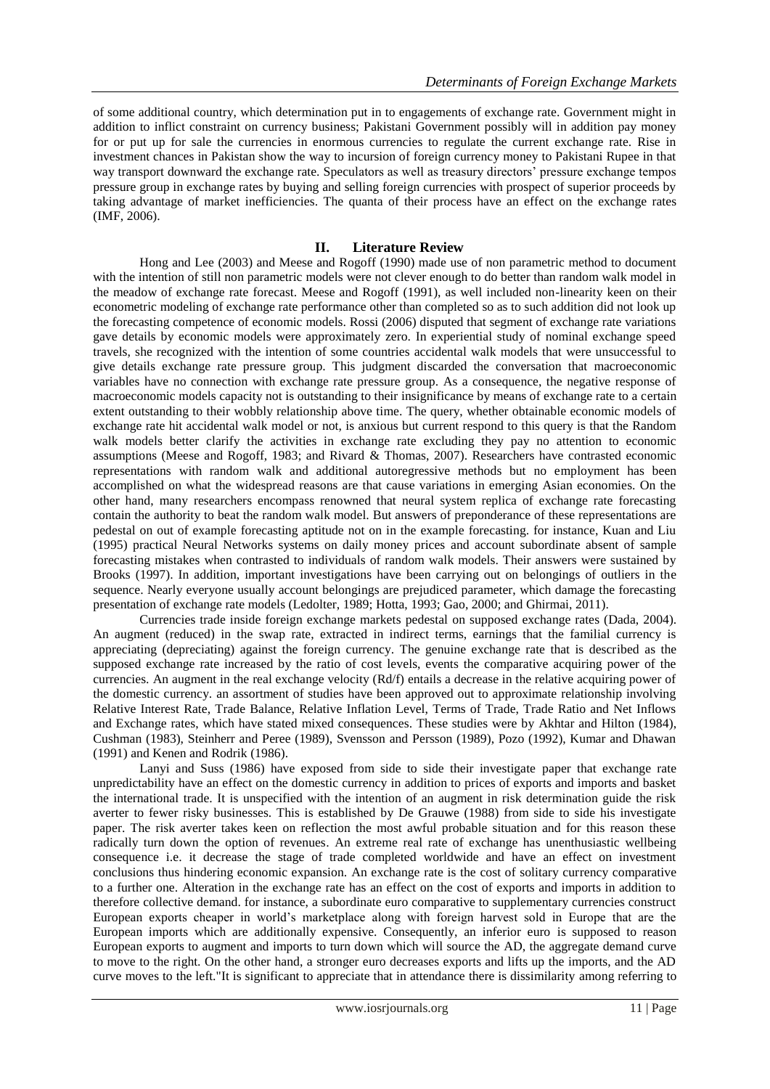of some additional country, which determination put in to engagements of exchange rate. Government might in addition to inflict constraint on currency business; Pakistani Government possibly will in addition pay money for or put up for sale the currencies in enormous currencies to regulate the current exchange rate. Rise in investment chances in Pakistan show the way to incursion of foreign currency money to Pakistani Rupee in that way transport downward the exchange rate. Speculators as well as treasury directors' pressure exchange tempos pressure group in exchange rates by buying and selling foreign currencies with prospect of superior proceeds by taking advantage of market inefficiencies. The quanta of their process have an effect on the exchange rates (IMF, 2006).

# **II. Literature Review**

Hong and Lee (2003) and Meese and Rogoff (1990) made use of non parametric method to document with the intention of still non parametric models were not clever enough to do better than random walk model in the meadow of exchange rate forecast. Meese and Rogoff (1991), as well included non-linearity keen on their econometric modeling of exchange rate performance other than completed so as to such addition did not look up the forecasting competence of economic models. Rossi (2006) disputed that segment of exchange rate variations gave details by economic models were approximately zero. In experiential study of nominal exchange speed travels, she recognized with the intention of some countries accidental walk models that were unsuccessful to give details exchange rate pressure group. This judgment discarded the conversation that macroeconomic variables have no connection with exchange rate pressure group. As a consequence, the negative response of macroeconomic models capacity not is outstanding to their insignificance by means of exchange rate to a certain extent outstanding to their wobbly relationship above time. The query, whether obtainable economic models of exchange rate hit accidental walk model or not, is anxious but current respond to this query is that the Random walk models better clarify the activities in exchange rate excluding they pay no attention to economic assumptions (Meese and Rogoff, 1983; and Rivard & Thomas, 2007). Researchers have contrasted economic representations with random walk and additional autoregressive methods but no employment has been accomplished on what the widespread reasons are that cause variations in emerging Asian economies. On the other hand, many researchers encompass renowned that neural system replica of exchange rate forecasting contain the authority to beat the random walk model. But answers of preponderance of these representations are pedestal on out of example forecasting aptitude not on in the example forecasting. for instance, Kuan and Liu (1995) practical Neural Networks systems on daily money prices and account subordinate absent of sample forecasting mistakes when contrasted to individuals of random walk models. Their answers were sustained by Brooks (1997). In addition, important investigations have been carrying out on belongings of outliers in the sequence. Nearly everyone usually account belongings are prejudiced parameter, which damage the forecasting presentation of exchange rate models (Ledolter, 1989; Hotta, 1993; Gao, 2000; and Ghirmai, 2011).

Currencies trade inside foreign exchange markets pedestal on supposed exchange rates (Dada, 2004). An augment (reduced) in the swap rate, extracted in indirect terms, earnings that the familial currency is appreciating (depreciating) against the foreign currency. The genuine exchange rate that is described as the supposed exchange rate increased by the ratio of cost levels, events the comparative acquiring power of the currencies. An augment in the real exchange velocity (Rd/f) entails a decrease in the relative acquiring power of the domestic currency. an assortment of studies have been approved out to approximate relationship involving Relative Interest Rate, Trade Balance, Relative Inflation Level, Terms of Trade, Trade Ratio and Net Inflows and Exchange rates, which have stated mixed consequences. These studies were by Akhtar and Hilton (1984), Cushman (1983), Steinherr and Peree (1989), Svensson and Persson (1989), Pozo (1992), Kumar and Dhawan (1991) and Kenen and Rodrik (1986).

Lanyi and Suss (1986) have exposed from side to side their investigate paper that exchange rate unpredictability have an effect on the domestic currency in addition to prices of exports and imports and basket the international trade. It is unspecified with the intention of an augment in risk determination guide the risk averter to fewer risky businesses. This is established by De Grauwe (1988) from side to side his investigate paper. The risk averter takes keen on reflection the most awful probable situation and for this reason these radically turn down the option of revenues. An extreme real rate of exchange has unenthusiastic wellbeing consequence i.e. it decrease the stage of trade completed worldwide and have an effect on investment conclusions thus hindering economic expansion. An exchange rate is the cost of solitary currency comparative to a further one. Alteration in the exchange rate has an effect on the cost of exports and imports in addition to therefore collective demand. for instance, a subordinate euro comparative to supplementary currencies construct European exports cheaper in world's marketplace along with foreign harvest sold in Europe that are the European imports which are additionally expensive. Consequently, an inferior euro is supposed to reason European exports to augment and imports to turn down which will source the AD, the aggregate demand curve to move to the right. On the other hand, a stronger euro decreases exports and lifts up the imports, and the AD curve moves to the left."It is significant to appreciate that in attendance there is dissimilarity among referring to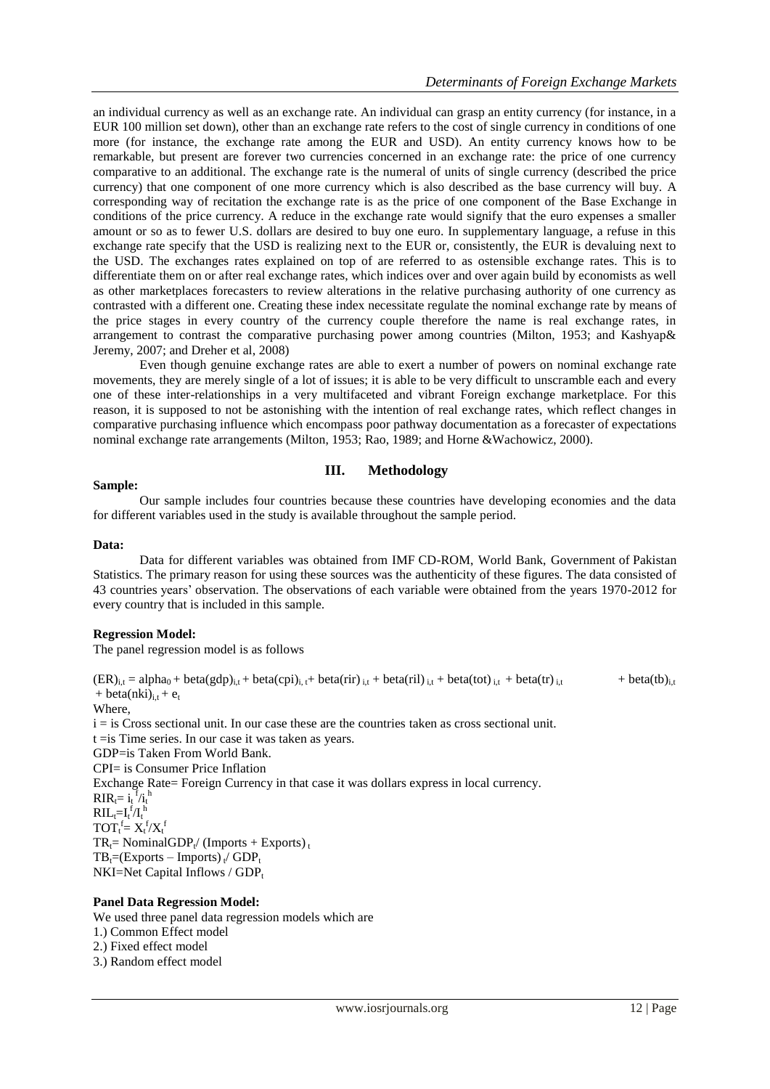an individual currency as well as an exchange rate. An individual can grasp an entity currency (for instance, in a EUR 100 million set down), other than an exchange rate refers to the cost of single currency in conditions of one more (for instance, the exchange rate among the EUR and USD). An entity currency knows how to be remarkable, but present are forever two currencies concerned in an exchange rate: the price of one currency comparative to an additional. The exchange rate is the numeral of units of single currency (described the price currency) that one component of one more currency which is also described as the base currency will buy. A corresponding way of recitation the exchange rate is as the price of one component of the Base Exchange in conditions of the price currency. A reduce in the exchange rate would signify that the euro expenses a smaller amount or so as to fewer U.S. dollars are desired to buy one euro. In supplementary language, a refuse in this exchange rate specify that the USD is realizing next to the EUR or, consistently, the EUR is devaluing next to the USD. The exchanges rates explained on top of are referred to as ostensible exchange rates. This is to differentiate them on or after real exchange rates, which indices over and over again build by economists as well as other marketplaces forecasters to review alterations in the relative purchasing authority of one currency as contrasted with a different one. Creating these index necessitate regulate the nominal exchange rate by means of the price stages in every country of the currency couple therefore the name is real exchange rates, in arrangement to contrast the comparative purchasing power among countries (Milton, 1953; and Kashyap& Jeremy, 2007; and Dreher et al, 2008)

Even though genuine exchange rates are able to exert a number of powers on nominal exchange rate movements, they are merely single of a lot of issues; it is able to be very difficult to unscramble each and every one of these inter-relationships in a very multifaceted and vibrant Foreign exchange marketplace. For this reason, it is supposed to not be astonishing with the intention of real exchange rates, which reflect changes in comparative purchasing influence which encompass poor pathway documentation as a forecaster of expectations nominal exchange rate arrangements (Milton, 1953; Rao, 1989; and Horne &Wachowicz, 2000).

# **Sample:**

# **III. Methodology**

Our sample includes four countries because these countries have developing economies and the data for different variables used in the study is available throughout the sample period.

## **Data:**

Data for different variables was obtained from IMF CD-ROM, World Bank, Government of Pakistan Statistics. The primary reason for using these sources was the authenticity of these figures. The data consisted of 43 countries years' observation. The observations of each variable were obtained from the years 1970-2012 for every country that is included in this sample.

# **Regression Model:**

The panel regression model is as follows

 $(ER)_{i,t} = alpha_0 + beta(gdp)_{i,t} + beta(cpi)_{i,t} + beta(rir)_{i,t} + beta(ril)_{i,t} + beta(tot)_{i,t} + beta(tr)_{i,t}$  + beta(tb)<sub>i,t</sub> + beta(nki)<sub>i.t</sub> +  $e_t$ Where, i = is Cross sectional unit. In our case these are the countries taken as cross sectional unit. t =is Time series. In our case it was taken as years. GDP=is Taken From World Bank. CPI= is Consumer Price Inflation Exchange Rate= Foreign Currency in that case it was dollars express in local currency.  $\text{RIR}_{t} = i_t^{f}/i_t^{h}$  $\text{RIL}_{t} = I_t^{\text{f}} / I_t^{\text{h}}$  $TOT_t^f = X_t^f / X_t^f$  $TR_t = NominalGDP_t/(Imports + Exports)$ <sub>t</sub>  $TB_t = (Express - \text{Imports})_t / GDP_t$  $NKI=Net Capital Inflows / GDP<sub>t</sub>$ 

# **Panel Data Regression Model:**

We used three panel data regression models which are 1.) Common Effect model 2.) Fixed effect model 3.) Random effect model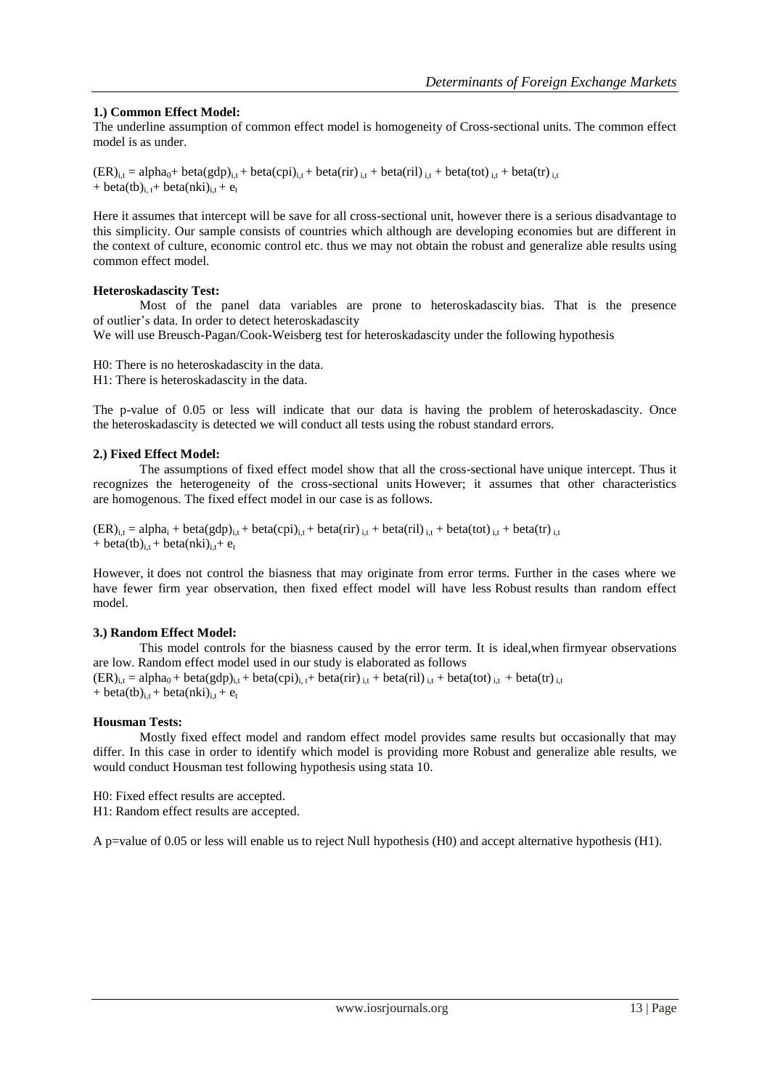# **1.) Common Effect Model:**

The underline assumption of common effect model is homogeneity of Cross-sectional units. The common effect model is as under.

 $(ER)_{i,t} = alpha_0 + beta(gdp)_{i,t} + beta(cpi)_{i,t} + beta(rir)_{i,t} + beta(ril)_{i,t} + beta(tot)_{i,t} + beta(tr)_{i,t}$ + beta(tb)<sub>i, t</sub>+ beta(nki)<sub>i,t</sub> + e<sub>t</sub>

Here it assumes that intercept will be save for all cross-sectional unit, however there is a serious disadvantage to this simplicity. Our sample consists of countries which although are developing economies but are different in the context of culture, economic control etc. thus we may not obtain the robust and generalize able results using common effect model.

# **Heteroskadascity Test:**

Most of the panel data variables are prone to heteroskadascity bias. That is the presence of outlier's data. In order to detect heteroskadascity

We will use Breusch-Pagan/Cook-Weisberg test for heteroskadascity under the following hypothesis

H0: There is no heteroskadascity in the data. H1: There is heteroskadascity in the data.

The p-value of 0.05 or less will indicate that our data is having the problem of heteroskadascity. Once the heteroskadascity is detected we will conduct all tests using the robust standard errors.

# **2.) Fixed Effect Model:**

The assumptions of fixed effect model show that all the cross-sectional have unique intercept. Thus it recognizes the heterogeneity of the cross-sectional units However; it assumes that other characteristics are homogenous. The fixed effect model in our case is as follows.

 $(ER)_{i,t} = alpha_i + beta(gdp)_{i,t} + beta(cpi)_{i,t} + beta(rir)_{i,t} + beta(ril)_{i,t} + beta(tot)_{i,t} + beta(tr)_{i,t}$ + beta(tb)<sub>i,t</sub> + beta(nki)<sub>i,t</sub> + e<sub>t</sub>

However, it does not control the biasness that may originate from error terms. Further in the cases where we have fewer firm year observation, then fixed effect model will have less Robust results than random effect model.

# **3.) Random Effect Model:**

This model controls for the biasness caused by the error term. It is ideal,when firmyear observations are low. Random effect model used in our study is elaborated as follows  $(ER)_{i,t} = alpha_0 + beta(gdp)_{i,t} + beta(cpi)_{i,t} + beta(irr)_{i,t} + beta(ril)_{i,t} + beta(tot)_{i,t} + beta(tr)_{i,t}$ + beta(tb)<sub>i,t</sub> + beta(nki)<sub>i,t</sub> + e<sub>t</sub>

# **Housman Tests:**

Mostly fixed effect model and random effect model provides same results but occasionally that may differ. In this case in order to identify which model is providing more Robust and generalize able results, we would conduct Housman test following hypothesis using stata 10.

H0: Fixed effect results are accepted.

H1: Random effect results are accepted.

A p=value of 0.05 or less will enable us to reject Null hypothesis (H0) and accept alternative hypothesis (H1).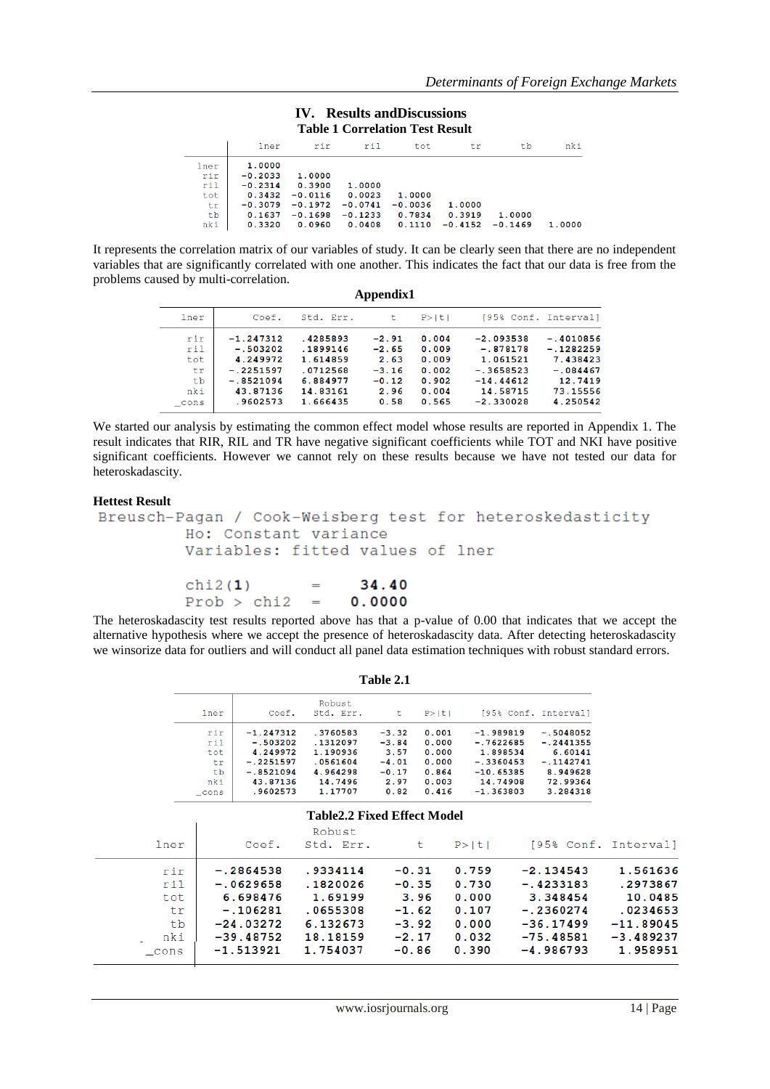#### **IV. Results andDiscussions Table 1 Correlation Test Result**

|      | lner      | rir       | ril       | tot       | tr        | tb        | nki    |  |  |  |
|------|-----------|-----------|-----------|-----------|-----------|-----------|--------|--|--|--|
| lner | 1.0000    |           |           |           |           |           |        |  |  |  |
| rir  | $-0.2033$ | 1.0000    |           |           |           |           |        |  |  |  |
| ril  | $-0.2314$ | 0.3900    | 1,0000    |           |           |           |        |  |  |  |
| tot  | 0.3432    | $-0.0116$ | 0.0023    | 1.0000    |           |           |        |  |  |  |
| tr.  | $-0.3079$ | $-0.1972$ | $-0.0741$ | $-0.0036$ | 1,0000    |           |        |  |  |  |
| tb   | 0.1637    | $-0.1698$ | $-0.1233$ | 0.7834    | 0.3919    | 1.0000    |        |  |  |  |
| nki  | 0.3320    | 0.0960    | 0.0408    | 0.1110    | $-0.4152$ | $-0.1469$ | 1,0000 |  |  |  |

It represents the correlation matrix of our variables of study. It can be clearly seen that there are no independent variables that are significantly correlated with one another. This indicates the fact that our data is free from the problems caused by multi-correlation. **Appendix1** 

| Аррении                              |                                                                                 |                                                                      |                                                          |                                                    |                                                                                 |                                                                             |  |  |  |
|--------------------------------------|---------------------------------------------------------------------------------|----------------------------------------------------------------------|----------------------------------------------------------|----------------------------------------------------|---------------------------------------------------------------------------------|-----------------------------------------------------------------------------|--|--|--|
| lner                                 | Coef.                                                                           | Std. Err.                                                            | t                                                        | P >  t                                             | [95% Conf. Interval]                                                            |                                                                             |  |  |  |
| rir<br>ril<br>tot<br>tr<br>tb<br>nki | $-1.247312$<br>$-.503202$<br>4.249972<br>$-.2251597$<br>$-.8521094$<br>43.87136 | .4285893<br>.1899146<br>1.614859<br>.0712568<br>6.884977<br>14.83161 | $-2.91$<br>$-2.65$<br>2.63<br>$-3.16$<br>$-0.12$<br>2.96 | 0.004<br>0.009<br>0.009<br>0.002<br>0.902<br>0.004 | $-2.093538$<br>$-.878178$<br>1.061521<br>$-.3658523$<br>$-14.44612$<br>14.58715 | $-.4010856$<br>$-.1282259$<br>7.438423<br>$-.084467$<br>12.7419<br>73.15556 |  |  |  |
| cons                                 | .9602573                                                                        | 1.666435                                                             | 0.58                                                     | 0.565                                              | $-2.330028$                                                                     | 4.250542                                                                    |  |  |  |

We started our analysis by estimating the common effect model whose results are reported in Appendix 1. The result indicates that RIR, RIL and TR have negative significant coefficients while TOT and NKI have positive significant coefficients. However we cannot rely on these results because we have not tested our data for heteroskadascity.

## **Hettest Result**

```
Breusch-Pagan / Cook-Weisberg test for heteroskedasticity
Ho: Constant variance
Variables: fitted values of lner
```
34.40  $chi2(1)$  $=$  $Prob > chi2$  $=$  $0.0000$ 

The heteroskadascity test results reported above has that a p-value of 0.00 that indicates that we accept the alternative hypothesis where we accept the presence of heteroskadascity data. After detecting heteroskadascity we winsorize data for outliers and will conduct all panel data estimation techniques with robust standard errors.

| lner | Coef.       | Robust<br>Std. Err. | t       | P >  t |             | 195% Conf. Intervall |
|------|-------------|---------------------|---------|--------|-------------|----------------------|
| rir  | $-1.247312$ | .3760583            | $-3.32$ | 0.001  | $-1.989819$ | $-.5048052$          |
| ril  | $-.503202$  | .1312097            | $-3.84$ | 0.000  | $-.7622685$ | $-.2441355$          |
| tot  | 4.249972    | 1.190936            | 3.57    | 0.000  | 1.898534    | 6.60141              |
| tr   | $-.2251597$ | .0561604            | $-4.01$ | 0.000  | $-.3360453$ | $-.1142741$          |
| tb   | $-.8521094$ | 4.964298            | $-0.17$ | 0.864  | $-10.65385$ | 8.949628             |
| nki  | 43.87136    | 14.7496             | 2.97    | 0.003  | 14.74908    | 72.99364             |
| cons | .9602573    | 1.17707             | 0.82    | 0.416  | $-1.363803$ | 3.284318             |

# **Table 2.1**

| <b>Table2.2 Fixed Effect Model</b>           |                                                                                                   |                                                                                 |                                                                        |                                                             |                                                                                                    |                                                                                       |  |  |
|----------------------------------------------|---------------------------------------------------------------------------------------------------|---------------------------------------------------------------------------------|------------------------------------------------------------------------|-------------------------------------------------------------|----------------------------------------------------------------------------------------------------|---------------------------------------------------------------------------------------|--|--|
| lner                                         | Coef.                                                                                             | Robust<br>Std. Err.                                                             | t                                                                      | P >  t                                                      |                                                                                                    | [95% Conf. Interval]                                                                  |  |  |
| rir<br>ril<br>tot<br>tr<br>tb<br>nki<br>cons | $-.2864538$<br>$-.0629658$<br>6.698476<br>$-.106281$<br>$-24.03272$<br>$-39.48752$<br>$-1.513921$ | .9334114<br>.1820026<br>1.69199<br>.0655308<br>6.132673<br>18.18159<br>1.754037 | $-0.31$<br>$-0.35$<br>3.96<br>$-1.62$<br>$-3.92$<br>$-2.17$<br>$-0.86$ | 0.759<br>0.730<br>0.000<br>0.107<br>0.000<br>0.032<br>0.390 | $-2.134543$<br>$-.4233183$<br>3.348454<br>$-.2360274$<br>$-36.17499$<br>$-75.48581$<br>$-4.986793$ | 1.561636<br>.2973867<br>10.0485<br>.0234653<br>$-11.89045$<br>$-3.489237$<br>1.958951 |  |  |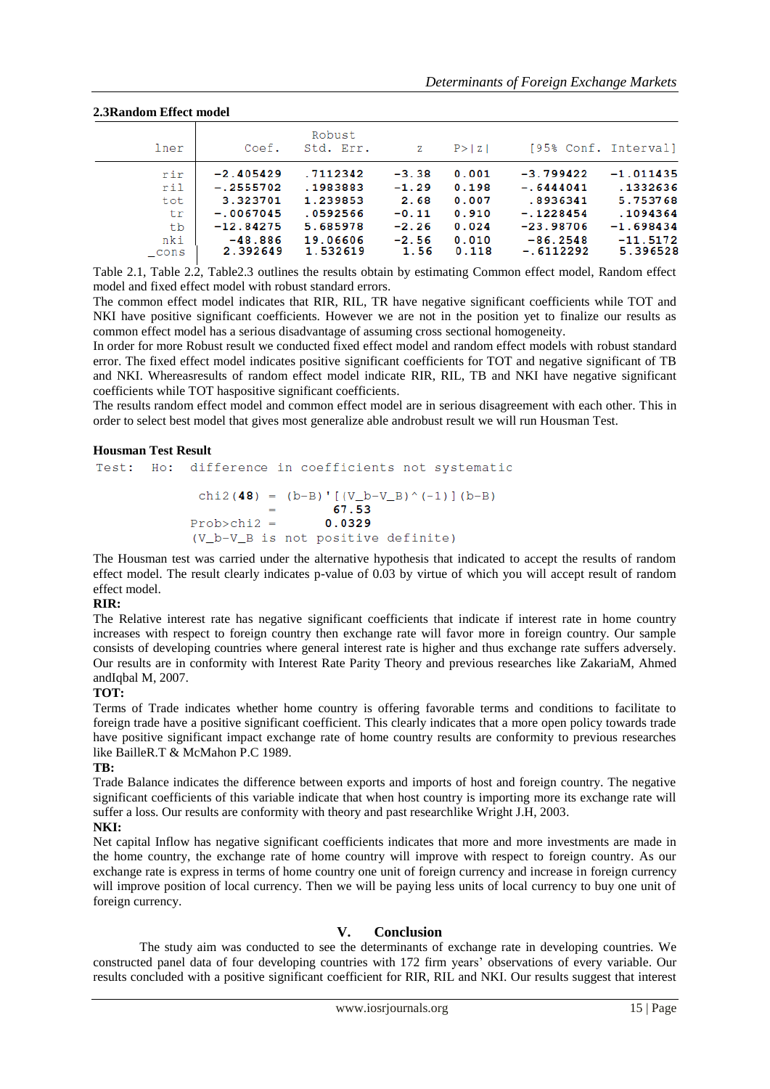## **2.3Random Effect model**

| lner | Coef.       | Robust<br>Std. Err. | Ζ       | P >  Z | [95% Conf. Interval] |             |
|------|-------------|---------------------|---------|--------|----------------------|-------------|
| rir  | $-2.405429$ | .7112342            | $-3.38$ | 0.001  | $-3.799422$          | $-1.011435$ |
| ril  | $-.2555702$ | .1983883            | $-1.29$ | 0.198  | $-.6444041$          | .1332636    |
| tot  | 3.323701    | 1.239853            | 2.68    | 0.007  | .8936341             | 5.753768    |
| tr   | $-.0067045$ | .0592566            | $-0.11$ | 0.910  | $-.1228454$          | .1094364    |
| tb   | $-12.84275$ | 5.685978            | $-2.26$ | 0.024  | $-23.98706$          | $-1.698434$ |
| nki  | $-48.886$   | 19.06606            | $-2.56$ | 0.010  | $-86.2548$           | $-11.5172$  |
| cons | 2.392649    | 1.532619            | 1.56    | 0.118  | $-.6112292$          | 5.396528    |

Table 2.1, Table 2.2, Table2.3 outlines the results obtain by estimating Common effect model, Random effect model and fixed effect model with robust standard errors.

The common effect model indicates that RIR, RIL, TR have negative significant coefficients while TOT and NKI have positive significant coefficients. However we are not in the position yet to finalize our results as common effect model has a serious disadvantage of assuming cross sectional homogeneity.

In order for more Robust result we conducted fixed effect model and random effect models with robust standard error. The fixed effect model indicates positive significant coefficients for TOT and negative significant of TB and NKI. Whereasresults of random effect model indicate RIR, RIL, TB and NKI have negative significant coefficients while TOT haspositive significant coefficients.

The results random effect model and common effect model are in serious disagreement with each other. This in order to select best model that gives most generalize able androbust result we will run Housman Test.

### **Housman Test Result**

```
Test: Ho: difference in coefficients not systematic
    chi2(48) = (b-B)' [(V_b-V_B)^(-1)] (b-B)67.53
   Prob>chi2 =0.0329(V b-V B is not positive definite)
```
The Housman test was carried under the alternative hypothesis that indicated to accept the results of random effect model. The result clearly indicates p-value of 0.03 by virtue of which you will accept result of random effect model.

# **RIR:**

The Relative interest rate has negative significant coefficients that indicate if interest rate in home country increases with respect to foreign country then exchange rate will favor more in foreign country. Our sample consists of developing countries where general interest rate is higher and thus exchange rate suffers adversely. Our results are in conformity with Interest Rate Parity Theory and previous researches like ZakariaM, Ahmed andIqbal M, 2007.

# **TOT:**

Terms of Trade indicates whether home country is offering favorable terms and conditions to facilitate to foreign trade have a positive significant coefficient. This clearly indicates that a more open policy towards trade have positive significant impact exchange rate of home country results are conformity to previous researches like BailleR.T & McMahon P.C 1989.

# **TB:**

Trade Balance indicates the difference between exports and imports of host and foreign country. The negative significant coefficients of this variable indicate that when host country is importing more its exchange rate will suffer a loss. Our results are conformity with theory and past researchlike Wright J.H, 2003.

#### **NKI:**

Net capital Inflow has negative significant coefficients indicates that more and more investments are made in the home country, the exchange rate of home country will improve with respect to foreign country. As our exchange rate is express in terms of home country one unit of foreign currency and increase in foreign currency will improve position of local currency. Then we will be paying less units of local currency to buy one unit of foreign currency.

# **V. Conclusion**

The study aim was conducted to see the determinants of exchange rate in developing countries. We constructed panel data of four developing countries with 172 firm years' observations of every variable. Our results concluded with a positive significant coefficient for RIR, RIL and NKI. Our results suggest that interest